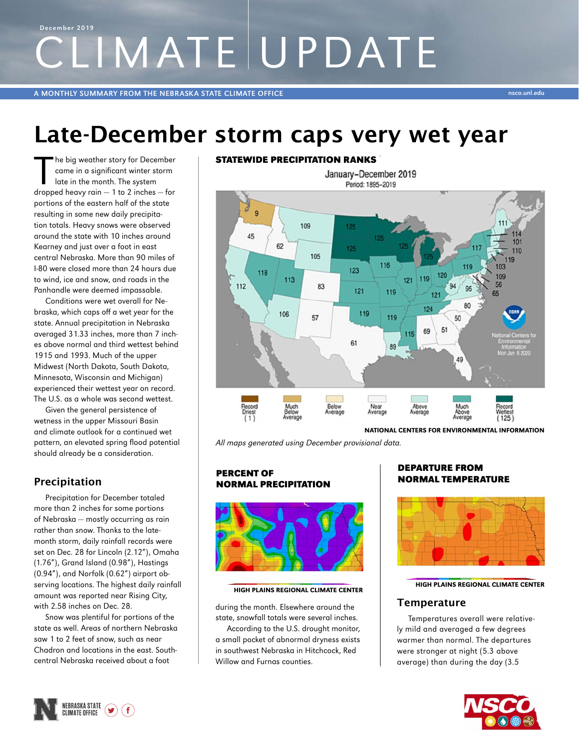# CLIMATE UPDATE December 2019

A MONTHLY SUMMARY FROM THE NEBRASKA STATE CLIMATE OFFICE NAMES AND THE USE OF THE USE OF THE USE OF THE USE ON

## Late-December storm caps very wet year

The big weather story for December<br>
came in a significant winter storm<br>
late in the month. The system<br>
dropped heavy rain - 1 to 2 inches - for he big weather story for December came in a significant winter storm late in the month. The system portions of the eastern half of the state resulting in some new daily precipitation totals. Heavy snows were observed around the state with 10 inches around Kearney and just over a foot in east central Nebraska. More than 90 miles of I-80 were closed more than 24 hours due to wind, ice and snow, and roads in the Panhandle were deemed impassable.

Conditions were wet overall for Nebraska, which caps off a wet year for the state. Annual precipitation in Nebraska averaged 31.33 inches, more than 7 inches above normal and third wettest behind 1915 and 1993. Much of the upper Midwest (North Dakota, South Dakota, Minnesota, Wisconsin and Michigan) experienced their wettest year on record. The U.S. as a whole was second wettest.

Given the general persistence of wetness in the upper Missouri Basin and climate outlook for a continued wet pattern, an elevated spring flood potential should already be a consideration.

## Precipitation

Precipitation for December totaled more than 2 inches for some portions of Nebraska — mostly occurring as rain rather than snow. Thanks to the latemonth storm, daily rainfall records were set on Dec. 28 for Lincoln (2.12"), Omaha (1.76"), Grand Island (0.98"), Hastings (0.94"), and Norfolk (0.62") airport observing locations. The highest daily rainfall amount was reported near Rising City, with 2.58 inches on Dec. 28.

Snow was plentiful for portions of the state as well. Areas of northern Nebraska saw 1 to 2 feet of snow, such as near Chadron and locations in the east. Southcentral Nebraska received about a foot

#### STATEWIDE PRECIPITATION RANKS



All maps generated using December provisional data.

#### PERCENT OF NORMAL PRECIPITATION



#### HIGH PLAINS REGIONAL CLIMATE CENTER

during the month. Elsewhere around the state, snowfall totals were several inches.

According to the U.S. drought monitor, a small pocket of abnormal dryness exists in southwest Nebraska in Hitchcock, Red Willow and Furnas counties.

#### DEPARTURE FROM NORMAL TEMPERATURE



HIGH PLAINS REGIONAL CLIMATE CENTER

#### **Temperature**

Temperatures overall were relatively mild and averaged a few degrees warmer than normal. The departures were stronger at night (5.3 above average) than during the day (3.5